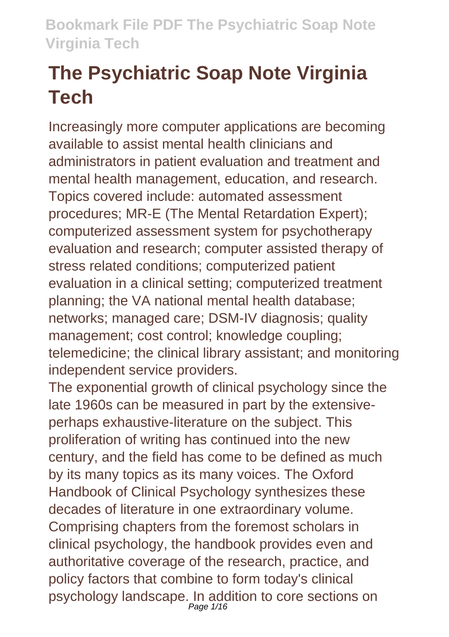# **The Psychiatric Soap Note Virginia Tech**

Increasingly more computer applications are becoming available to assist mental health clinicians and administrators in patient evaluation and treatment and mental health management, education, and research. Topics covered include: automated assessment procedures; MR-E (The Mental Retardation Expert); computerized assessment system for psychotherapy evaluation and research; computer assisted therapy of stress related conditions; computerized patient evaluation in a clinical setting; computerized treatment planning; the VA national mental health database; networks; managed care; DSM-IV diagnosis; quality management; cost control; knowledge coupling; telemedicine; the clinical library assistant; and monitoring independent service providers.

The exponential growth of clinical psychology since the late 1960s can be measured in part by the extensiveperhaps exhaustive-literature on the subject. This proliferation of writing has continued into the new century, and the field has come to be defined as much by its many topics as its many voices. The Oxford Handbook of Clinical Psychology synthesizes these decades of literature in one extraordinary volume. Comprising chapters from the foremost scholars in clinical psychology, the handbook provides even and authoritative coverage of the research, practice, and policy factors that combine to form today's clinical psychology landscape. In addition to core sections on<br>Page 1/16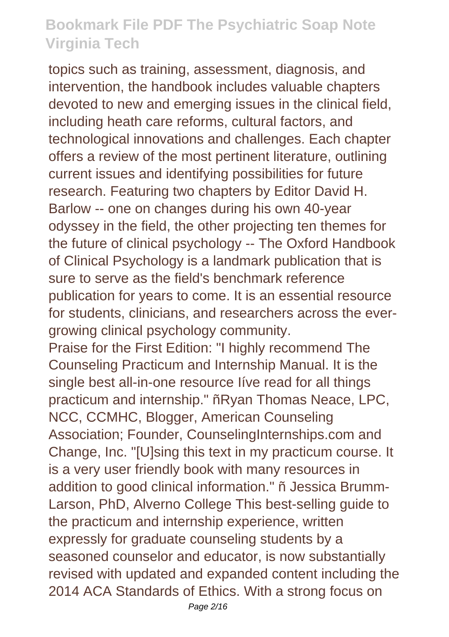topics such as training, assessment, diagnosis, and intervention, the handbook includes valuable chapters devoted to new and emerging issues in the clinical field, including heath care reforms, cultural factors, and technological innovations and challenges. Each chapter offers a review of the most pertinent literature, outlining current issues and identifying possibilities for future research. Featuring two chapters by Editor David H. Barlow -- one on changes during his own 40-year odyssey in the field, the other projecting ten themes for the future of clinical psychology -- The Oxford Handbook of Clinical Psychology is a landmark publication that is sure to serve as the field's benchmark reference publication for years to come. It is an essential resource for students, clinicians, and researchers across the evergrowing clinical psychology community.

Praise for the First Edition: "I highly recommend The Counseling Practicum and Internship Manual. It is the single best all-in-one resource Iíve read for all things practicum and internship." ñRyan Thomas Neace, LPC, NCC, CCMHC, Blogger, American Counseling Association; Founder, CounselingInternships.com and Change, Inc. "[U]sing this text in my practicum course. It is a very user friendly book with many resources in addition to good clinical information." ñ Jessica Brumm-Larson, PhD, Alverno College This best-selling guide to the practicum and internship experience, written expressly for graduate counseling students by a seasoned counselor and educator, is now substantially revised with updated and expanded content including the 2014 ACA Standards of Ethics. With a strong focus on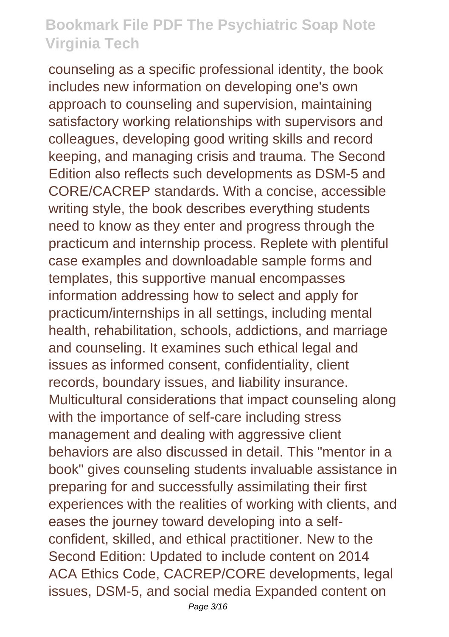counseling as a specific professional identity, the book includes new information on developing one's own approach to counseling and supervision, maintaining satisfactory working relationships with supervisors and colleagues, developing good writing skills and record keeping, and managing crisis and trauma. The Second Edition also reflects such developments as DSM-5 and CORE/CACREP standards. With a concise, accessible writing style, the book describes everything students need to know as they enter and progress through the practicum and internship process. Replete with plentiful case examples and downloadable sample forms and templates, this supportive manual encompasses information addressing how to select and apply for practicum/internships in all settings, including mental health, rehabilitation, schools, addictions, and marriage and counseling. It examines such ethical legal and issues as informed consent, confidentiality, client records, boundary issues, and liability insurance. Multicultural considerations that impact counseling along with the importance of self-care including stress management and dealing with aggressive client behaviors are also discussed in detail. This "mentor in a book" gives counseling students invaluable assistance in preparing for and successfully assimilating their first experiences with the realities of working with clients, and eases the journey toward developing into a selfconfident, skilled, and ethical practitioner. New to the Second Edition: Updated to include content on 2014 ACA Ethics Code, CACREP/CORE developments, legal issues, DSM-5, and social media Expanded content on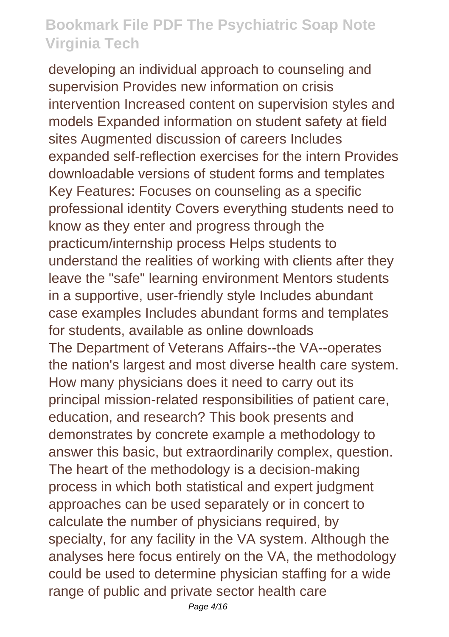developing an individual approach to counseling and supervision Provides new information on crisis intervention Increased content on supervision styles and models Expanded information on student safety at field sites Augmented discussion of careers Includes expanded self-reflection exercises for the intern Provides downloadable versions of student forms and templates Key Features: Focuses on counseling as a specific professional identity Covers everything students need to know as they enter and progress through the practicum/internship process Helps students to understand the realities of working with clients after they leave the "safe" learning environment Mentors students in a supportive, user-friendly style Includes abundant case examples Includes abundant forms and templates for students, available as online downloads The Department of Veterans Affairs--the VA--operates the nation's largest and most diverse health care system. How many physicians does it need to carry out its principal mission-related responsibilities of patient care, education, and research? This book presents and demonstrates by concrete example a methodology to answer this basic, but extraordinarily complex, question. The heart of the methodology is a decision-making process in which both statistical and expert judgment approaches can be used separately or in concert to calculate the number of physicians required, by specialty, for any facility in the VA system. Although the analyses here focus entirely on the VA, the methodology could be used to determine physician staffing for a wide range of public and private sector health care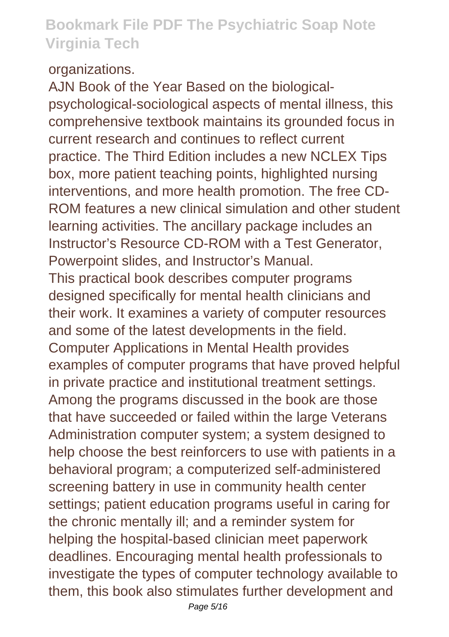#### organizations.

AJN Book of the Year Based on the biologicalpsychological-sociological aspects of mental illness, this comprehensive textbook maintains its grounded focus in current research and continues to reflect current practice. The Third Edition includes a new NCLEX Tips box, more patient teaching points, highlighted nursing interventions, and more health promotion. The free CD-ROM features a new clinical simulation and other student learning activities. The ancillary package includes an Instructor's Resource CD-ROM with a Test Generator, Powerpoint slides, and Instructor's Manual. This practical book describes computer programs designed specifically for mental health clinicians and their work. It examines a variety of computer resources and some of the latest developments in the field. Computer Applications in Mental Health provides examples of computer programs that have proved helpful in private practice and institutional treatment settings. Among the programs discussed in the book are those that have succeeded or failed within the large Veterans Administration computer system; a system designed to help choose the best reinforcers to use with patients in a behavioral program; a computerized self-administered screening battery in use in community health center settings; patient education programs useful in caring for the chronic mentally ill; and a reminder system for helping the hospital-based clinician meet paperwork deadlines. Encouraging mental health professionals to investigate the types of computer technology available to them, this book also stimulates further development and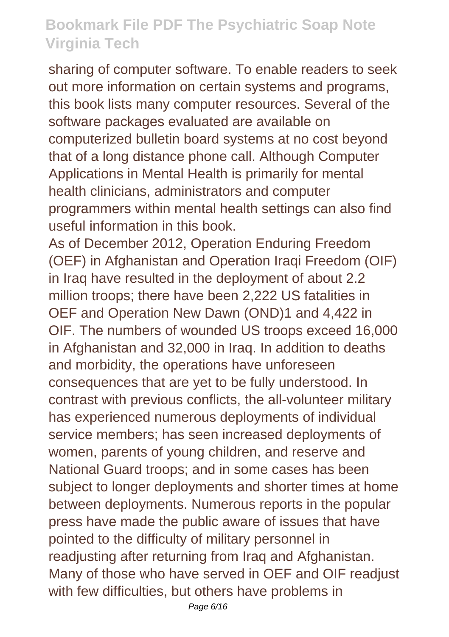sharing of computer software. To enable readers to seek out more information on certain systems and programs, this book lists many computer resources. Several of the software packages evaluated are available on computerized bulletin board systems at no cost beyond that of a long distance phone call. Although Computer Applications in Mental Health is primarily for mental health clinicians, administrators and computer programmers within mental health settings can also find useful information in this book.

As of December 2012, Operation Enduring Freedom (OEF) in Afghanistan and Operation Iraqi Freedom (OIF) in Iraq have resulted in the deployment of about 2.2 million troops; there have been 2,222 US fatalities in OEF and Operation New Dawn (OND)1 and 4,422 in OIF. The numbers of wounded US troops exceed 16,000 in Afghanistan and 32,000 in Iraq. In addition to deaths and morbidity, the operations have unforeseen consequences that are yet to be fully understood. In contrast with previous conflicts, the all-volunteer military has experienced numerous deployments of individual service members; has seen increased deployments of women, parents of young children, and reserve and National Guard troops; and in some cases has been subject to longer deployments and shorter times at home between deployments. Numerous reports in the popular press have made the public aware of issues that have pointed to the difficulty of military personnel in readjusting after returning from Iraq and Afghanistan. Many of those who have served in OEF and OIF readjust with few difficulties, but others have problems in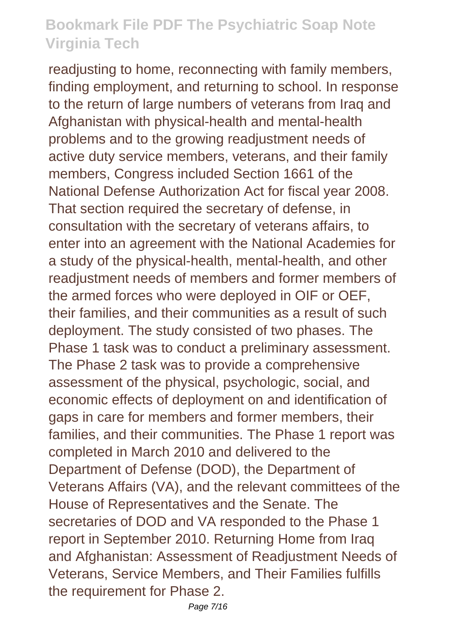readjusting to home, reconnecting with family members, finding employment, and returning to school. In response to the return of large numbers of veterans from Iraq and Afghanistan with physical-health and mental-health problems and to the growing readjustment needs of active duty service members, veterans, and their family members, Congress included Section 1661 of the National Defense Authorization Act for fiscal year 2008. That section required the secretary of defense, in consultation with the secretary of veterans affairs, to enter into an agreement with the National Academies for a study of the physical-health, mental-health, and other readjustment needs of members and former members of the armed forces who were deployed in OIF or OEF, their families, and their communities as a result of such deployment. The study consisted of two phases. The Phase 1 task was to conduct a preliminary assessment. The Phase 2 task was to provide a comprehensive assessment of the physical, psychologic, social, and economic effects of deployment on and identification of gaps in care for members and former members, their families, and their communities. The Phase 1 report was completed in March 2010 and delivered to the Department of Defense (DOD), the Department of Veterans Affairs (VA), and the relevant committees of the House of Representatives and the Senate. The secretaries of DOD and VA responded to the Phase 1 report in September 2010. Returning Home from Iraq and Afghanistan: Assessment of Readjustment Needs of Veterans, Service Members, and Their Families fulfills the requirement for Phase 2.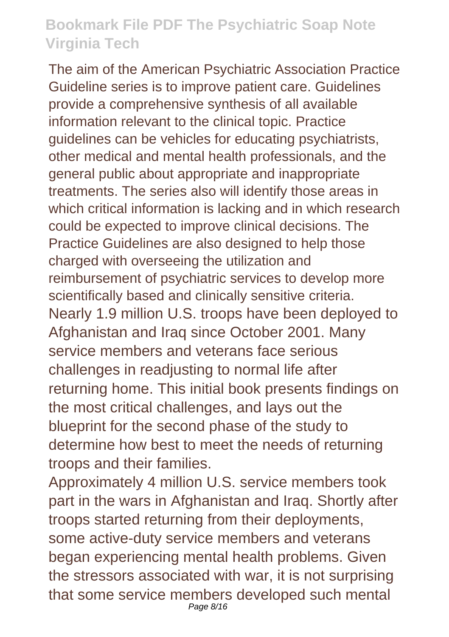The aim of the American Psychiatric Association Practice Guideline series is to improve patient care. Guidelines provide a comprehensive synthesis of all available information relevant to the clinical topic. Practice guidelines can be vehicles for educating psychiatrists, other medical and mental health professionals, and the general public about appropriate and inappropriate treatments. The series also will identify those areas in which critical information is lacking and in which research could be expected to improve clinical decisions. The Practice Guidelines are also designed to help those charged with overseeing the utilization and reimbursement of psychiatric services to develop more scientifically based and clinically sensitive criteria. Nearly 1.9 million U.S. troops have been deployed to Afghanistan and Iraq since October 2001. Many service members and veterans face serious challenges in readjusting to normal life after returning home. This initial book presents findings on the most critical challenges, and lays out the blueprint for the second phase of the study to determine how best to meet the needs of returning troops and their families.

Approximately 4 million U.S. service members took part in the wars in Afghanistan and Iraq. Shortly after troops started returning from their deployments, some active-duty service members and veterans began experiencing mental health problems. Given the stressors associated with war, it is not surprising that some service members developed such mental Page 8/16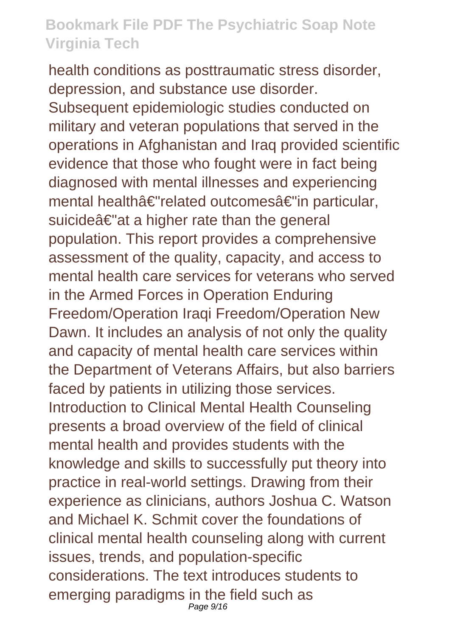health conditions as posttraumatic stress disorder, depression, and substance use disorder. Subsequent epidemiologic studies conducted on military and veteran populations that served in the operations in Afghanistan and Iraq provided scientific evidence that those who fought were in fact being diagnosed with mental illnesses and experiencing mental healthâ€"related outcomesâ€"in particular, suicideâ€"at a higher rate than the general population. This report provides a comprehensive assessment of the quality, capacity, and access to mental health care services for veterans who served in the Armed Forces in Operation Enduring Freedom/Operation Iraqi Freedom/Operation New Dawn. It includes an analysis of not only the quality and capacity of mental health care services within the Department of Veterans Affairs, but also barriers faced by patients in utilizing those services. Introduction to Clinical Mental Health Counseling presents a broad overview of the field of clinical mental health and provides students with the knowledge and skills to successfully put theory into practice in real-world settings. Drawing from their experience as clinicians, authors Joshua C. Watson and Michael K. Schmit cover the foundations of clinical mental health counseling along with current issues, trends, and population-specific considerations. The text introduces students to emerging paradigms in the field such as Page 9/16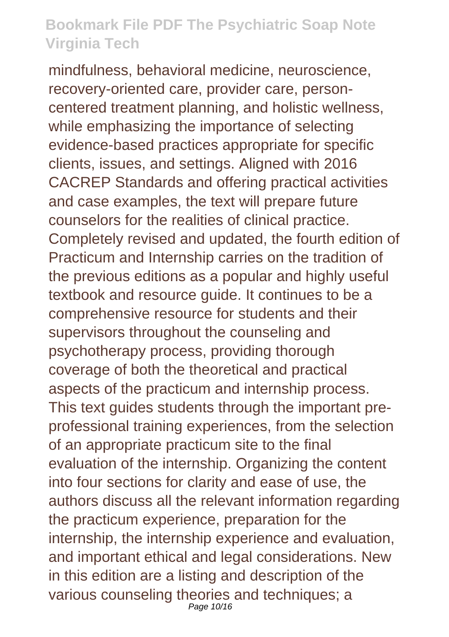mindfulness, behavioral medicine, neuroscience, recovery-oriented care, provider care, personcentered treatment planning, and holistic wellness, while emphasizing the importance of selecting evidence-based practices appropriate for specific clients, issues, and settings. Aligned with 2016 CACREP Standards and offering practical activities and case examples, the text will prepare future counselors for the realities of clinical practice. Completely revised and updated, the fourth edition of Practicum and Internship carries on the tradition of the previous editions as a popular and highly useful textbook and resource guide. It continues to be a comprehensive resource for students and their supervisors throughout the counseling and psychotherapy process, providing thorough coverage of both the theoretical and practical aspects of the practicum and internship process. This text guides students through the important preprofessional training experiences, from the selection of an appropriate practicum site to the final evaluation of the internship. Organizing the content into four sections for clarity and ease of use, the authors discuss all the relevant information regarding the practicum experience, preparation for the internship, the internship experience and evaluation, and important ethical and legal considerations. New in this edition are a listing and description of the various counseling theories and techniques; a Page 10/16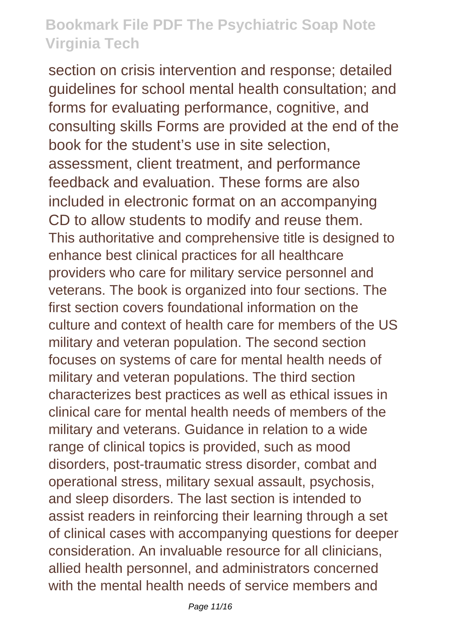section on crisis intervention and response; detailed guidelines for school mental health consultation; and forms for evaluating performance, cognitive, and consulting skills Forms are provided at the end of the book for the student's use in site selection, assessment, client treatment, and performance feedback and evaluation. These forms are also included in electronic format on an accompanying CD to allow students to modify and reuse them. This authoritative and comprehensive title is designed to enhance best clinical practices for all healthcare providers who care for military service personnel and veterans. The book is organized into four sections. The first section covers foundational information on the culture and context of health care for members of the US military and veteran population. The second section focuses on systems of care for mental health needs of military and veteran populations. The third section characterizes best practices as well as ethical issues in clinical care for mental health needs of members of the military and veterans. Guidance in relation to a wide range of clinical topics is provided, such as mood disorders, post-traumatic stress disorder, combat and operational stress, military sexual assault, psychosis, and sleep disorders. The last section is intended to assist readers in reinforcing their learning through a set of clinical cases with accompanying questions for deeper consideration. An invaluable resource for all clinicians, allied health personnel, and administrators concerned with the mental health needs of service members and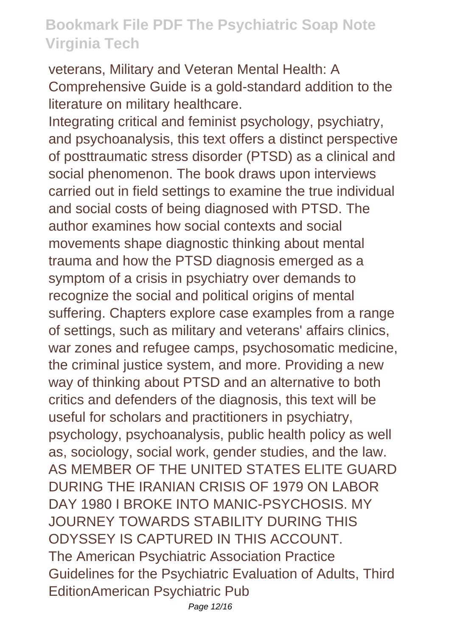veterans, Military and Veteran Mental Health: A Comprehensive Guide is a gold-standard addition to the literature on military healthcare.

Integrating critical and feminist psychology, psychiatry, and psychoanalysis, this text offers a distinct perspective of posttraumatic stress disorder (PTSD) as a clinical and social phenomenon. The book draws upon interviews carried out in field settings to examine the true individual and social costs of being diagnosed with PTSD. The author examines how social contexts and social movements shape diagnostic thinking about mental trauma and how the PTSD diagnosis emerged as a symptom of a crisis in psychiatry over demands to recognize the social and political origins of mental suffering. Chapters explore case examples from a range of settings, such as military and veterans' affairs clinics, war zones and refugee camps, psychosomatic medicine, the criminal justice system, and more. Providing a new way of thinking about PTSD and an alternative to both critics and defenders of the diagnosis, this text will be useful for scholars and practitioners in psychiatry, psychology, psychoanalysis, public health policy as well as, sociology, social work, gender studies, and the law. AS MEMBER OF THE UNITED STATES ELITE GUARD DURING THE IRANIAN CRISIS OF 1979 ON LABOR DAY 1980 I BROKE INTO MANIC-PSYCHOSIS. MY JOURNEY TOWARDS STABILITY DURING THIS ODYSSEY IS CAPTURED IN THIS ACCOUNT. The American Psychiatric Association Practice Guidelines for the Psychiatric Evaluation of Adults, Third EditionAmerican Psychiatric Pub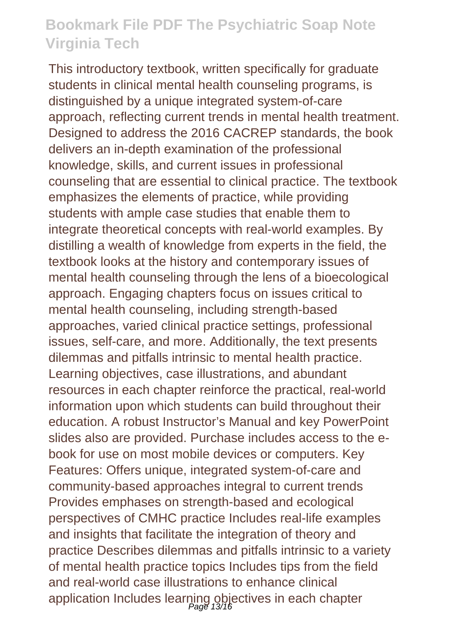This introductory textbook, written specifically for graduate students in clinical mental health counseling programs, is distinguished by a unique integrated system-of-care approach, reflecting current trends in mental health treatment. Designed to address the 2016 CACREP standards, the book delivers an in-depth examination of the professional knowledge, skills, and current issues in professional counseling that are essential to clinical practice. The textbook emphasizes the elements of practice, while providing students with ample case studies that enable them to integrate theoretical concepts with real-world examples. By distilling a wealth of knowledge from experts in the field, the textbook looks at the history and contemporary issues of mental health counseling through the lens of a bioecological approach. Engaging chapters focus on issues critical to mental health counseling, including strength-based approaches, varied clinical practice settings, professional issues, self-care, and more. Additionally, the text presents dilemmas and pitfalls intrinsic to mental health practice. Learning objectives, case illustrations, and abundant resources in each chapter reinforce the practical, real-world information upon which students can build throughout their education. A robust Instructor's Manual and key PowerPoint slides also are provided. Purchase includes access to the ebook for use on most mobile devices or computers. Key Features: Offers unique, integrated system-of-care and community-based approaches integral to current trends Provides emphases on strength-based and ecological perspectives of CMHC practice Includes real-life examples and insights that facilitate the integration of theory and practice Describes dilemmas and pitfalls intrinsic to a variety of mental health practice topics Includes tips from the field and real-world case illustrations to enhance clinical application Includes learning objectives in each chapter<br>
<sub>Page 13/16</sub>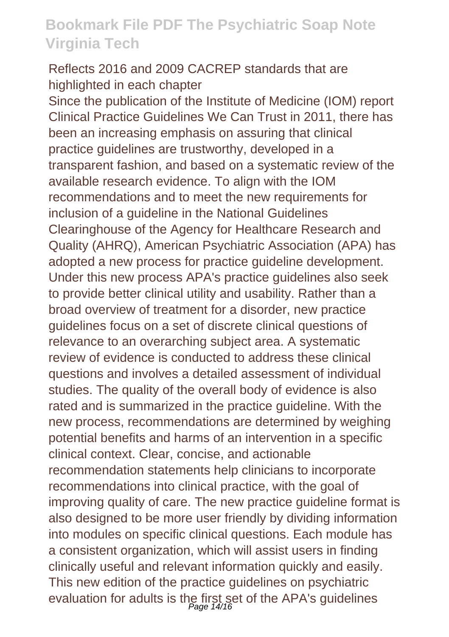#### Reflects 2016 and 2009 CACREP standards that are highlighted in each chapter

Since the publication of the Institute of Medicine (IOM) report Clinical Practice Guidelines We Can Trust in 2011, there has been an increasing emphasis on assuring that clinical practice guidelines are trustworthy, developed in a transparent fashion, and based on a systematic review of the available research evidence. To align with the IOM recommendations and to meet the new requirements for inclusion of a guideline in the National Guidelines Clearinghouse of the Agency for Healthcare Research and Quality (AHRQ), American Psychiatric Association (APA) has adopted a new process for practice guideline development. Under this new process APA's practice guidelines also seek to provide better clinical utility and usability. Rather than a broad overview of treatment for a disorder, new practice guidelines focus on a set of discrete clinical questions of relevance to an overarching subject area. A systematic review of evidence is conducted to address these clinical questions and involves a detailed assessment of individual studies. The quality of the overall body of evidence is also rated and is summarized in the practice guideline. With the new process, recommendations are determined by weighing potential benefits and harms of an intervention in a specific clinical context. Clear, concise, and actionable recommendation statements help clinicians to incorporate recommendations into clinical practice, with the goal of improving quality of care. The new practice guideline format is also designed to be more user friendly by dividing information into modules on specific clinical questions. Each module has a consistent organization, which will assist users in finding clinically useful and relevant information quickly and easily. This new edition of the practice guidelines on psychiatric evaluation for adults is the first set of the APA's guidelines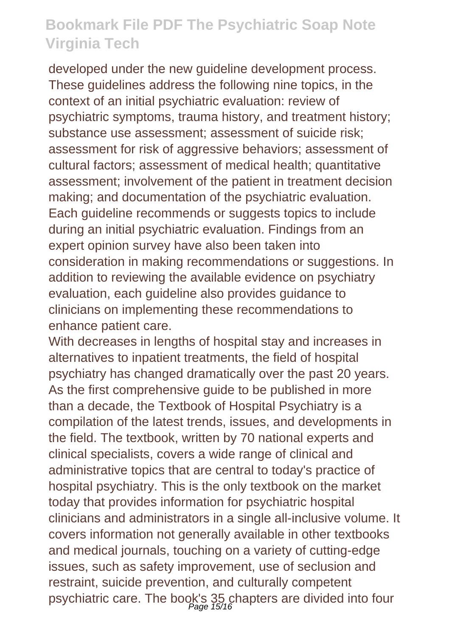developed under the new guideline development process. These guidelines address the following nine topics, in the context of an initial psychiatric evaluation: review of psychiatric symptoms, trauma history, and treatment history; substance use assessment; assessment of suicide risk; assessment for risk of aggressive behaviors; assessment of cultural factors; assessment of medical health; quantitative assessment; involvement of the patient in treatment decision making; and documentation of the psychiatric evaluation. Each guideline recommends or suggests topics to include during an initial psychiatric evaluation. Findings from an expert opinion survey have also been taken into consideration in making recommendations or suggestions. In addition to reviewing the available evidence on psychiatry evaluation, each guideline also provides guidance to clinicians on implementing these recommendations to enhance patient care.

With decreases in lengths of hospital stay and increases in alternatives to inpatient treatments, the field of hospital psychiatry has changed dramatically over the past 20 years. As the first comprehensive guide to be published in more than a decade, the Textbook of Hospital Psychiatry is a compilation of the latest trends, issues, and developments in the field. The textbook, written by 70 national experts and clinical specialists, covers a wide range of clinical and administrative topics that are central to today's practice of hospital psychiatry. This is the only textbook on the market today that provides information for psychiatric hospital clinicians and administrators in a single all-inclusive volume. It covers information not generally available in other textbooks and medical journals, touching on a variety of cutting-edge issues, such as safety improvement, use of seclusion and restraint, suicide prevention, and culturally competent psychiatric care. The book's 35 chapters are divided into four